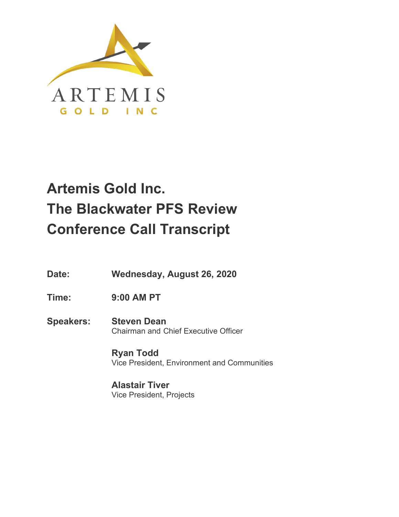

# **Artemis Gold Inc. The Blackwater PFS Review Conference Call Transcript**

- **Date: Wednesday, August 26, 2020**
- **Time: 9:00 AM PT**
- **Speakers: Steven Dean** Chairman and Chief Executive Officer

**Ryan Todd** Vice President, Environment and Communities

**Alastair Tiver** Vice President, Projects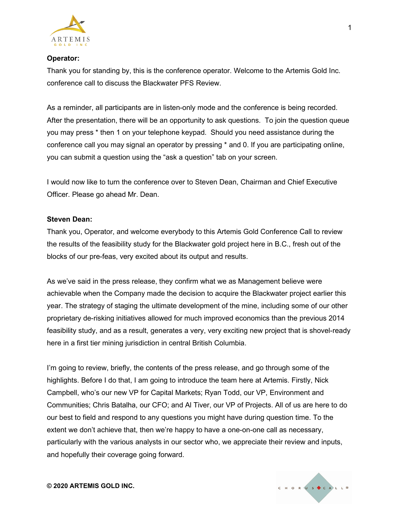

## **Operator:**

Thank you for standing by, this is the conference operator. Welcome to the Artemis Gold Inc. conference call to discuss the Blackwater PFS Review.

As a reminder, all participants are in listen-only mode and the conference is being recorded. After the presentation, there will be an opportunity to ask questions. To join the question queue you may press \* then 1 on your telephone keypad. Should you need assistance during the conference call you may signal an operator by pressing \* and 0. If you are participating online, you can submit a question using the "ask a question" tab on your screen.

I would now like to turn the conference over to Steven Dean, Chairman and Chief Executive Officer. Please go ahead Mr. Dean.

#### **Steven Dean:**

Thank you, Operator, and welcome everybody to this Artemis Gold Conference Call to review the results of the feasibility study for the Blackwater gold project here in B.C., fresh out of the blocks of our pre-feas, very excited about its output and results.

As we've said in the press release, they confirm what we as Management believe were achievable when the Company made the decision to acquire the Blackwater project earlier this year. The strategy of staging the ultimate development of the mine, including some of our other proprietary de-risking initiatives allowed for much improved economics than the previous 2014 feasibility study, and as a result, generates a very, very exciting new project that is shovel-ready here in a first tier mining jurisdiction in central British Columbia.

I'm going to review, briefly, the contents of the press release, and go through some of the highlights. Before I do that, I am going to introduce the team here at Artemis. Firstly, Nick Campbell, who's our new VP for Capital Markets; Ryan Todd, our VP, Environment and Communities; Chris Batalha, our CFO; and Al Tiver, our VP of Projects. All of us are here to do our best to field and respond to any questions you might have during question time. To the extent we don't achieve that, then we're happy to have a one-on-one call as necessary, particularly with the various analysts in our sector who, we appreciate their review and inputs, and hopefully their coverage going forward.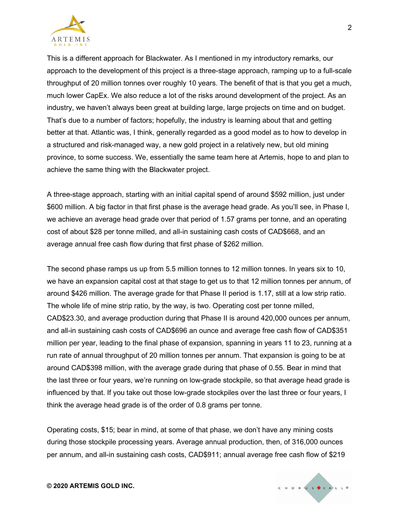

This is a different approach for Blackwater. As I mentioned in my introductory remarks, our approach to the development of this project is a three-stage approach, ramping up to a full-scale throughput of 20 million tonnes over roughly 10 years. The benefit of that is that you get a much, much lower CapEx. We also reduce a lot of the risks around development of the project. As an industry, we haven't always been great at building large, large projects on time and on budget. That's due to a number of factors; hopefully, the industry is learning about that and getting better at that. Atlantic was, I think, generally regarded as a good model as to how to develop in a structured and risk-managed way, a new gold project in a relatively new, but old mining province, to some success. We, essentially the same team here at Artemis, hope to and plan to achieve the same thing with the Blackwater project.

A three-stage approach, starting with an initial capital spend of around \$592 million, just under \$600 million. A big factor in that first phase is the average head grade. As you'll see, in Phase I, we achieve an average head grade over that period of 1.57 grams per tonne, and an operating cost of about \$28 per tonne milled, and all-in sustaining cash costs of CAD\$668, and an average annual free cash flow during that first phase of \$262 million.

The second phase ramps us up from 5.5 million tonnes to 12 million tonnes. In years six to 10, we have an expansion capital cost at that stage to get us to that 12 million tonnes per annum, of around \$426 million. The average grade for that Phase II period is 1.17, still at a low strip ratio. The whole life of mine strip ratio, by the way, is two. Operating cost per tonne milled, CAD\$23.30, and average production during that Phase II is around 420,000 ounces per annum, and all-in sustaining cash costs of CAD\$696 an ounce and average free cash flow of CAD\$351 million per year, leading to the final phase of expansion, spanning in years 11 to 23, running at a run rate of annual throughput of 20 million tonnes per annum. That expansion is going to be at around CAD\$398 million, with the average grade during that phase of 0.55. Bear in mind that the last three or four years, we're running on low-grade stockpile, so that average head grade is influenced by that. If you take out those low-grade stockpiles over the last three or four years, I think the average head grade is of the order of 0.8 grams per tonne.

Operating costs, \$15; bear in mind, at some of that phase, we don't have any mining costs during those stockpile processing years. Average annual production, then, of 316,000 ounces per annum, and all-in sustaining cash costs, CAD\$911; annual average free cash flow of \$219



2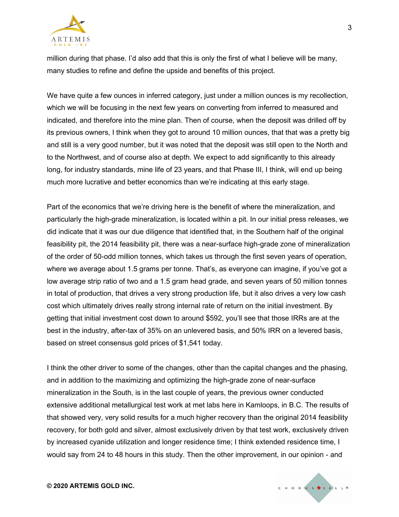

million during that phase. I'd also add that this is only the first of what I believe will be many, many studies to refine and define the upside and benefits of this project.

We have quite a few ounces in inferred category, just under a million ounces is my recollection, which we will be focusing in the next few years on converting from inferred to measured and indicated, and therefore into the mine plan. Then of course, when the deposit was drilled off by its previous owners, I think when they got to around 10 million ounces, that that was a pretty big and still is a very good number, but it was noted that the deposit was still open to the North and to the Northwest, and of course also at depth. We expect to add significantly to this already long, for industry standards, mine life of 23 years, and that Phase III, I think, will end up being much more lucrative and better economics than we're indicating at this early stage.

Part of the economics that we're driving here is the benefit of where the mineralization, and particularly the high-grade mineralization, is located within a pit. In our initial press releases, we did indicate that it was our due diligence that identified that, in the Southern half of the original feasibility pit, the 2014 feasibility pit, there was a near-surface high-grade zone of mineralization of the order of 50-odd million tonnes, which takes us through the first seven years of operation, where we average about 1.5 grams per tonne. That's, as everyone can imagine, if you've got a low average strip ratio of two and a 1.5 gram head grade, and seven years of 50 million tonnes in total of production, that drives a very strong production life, but it also drives a very low cash cost which ultimately drives really strong internal rate of return on the initial investment. By getting that initial investment cost down to around \$592, you'll see that those IRRs are at the best in the industry, after-tax of 35% on an unlevered basis, and 50% IRR on a levered basis, based on street consensus gold prices of \$1,541 today.

I think the other driver to some of the changes, other than the capital changes and the phasing, and in addition to the maximizing and optimizing the high-grade zone of near-surface mineralization in the South, is in the last couple of years, the previous owner conducted extensive additional metallurgical test work at met labs here in Kamloops, in B.C. The results of that showed very, very solid results for a much higher recovery than the original 2014 feasibility recovery, for both gold and silver, almost exclusively driven by that test work, exclusively driven by increased cyanide utilization and longer residence time; I think extended residence time, I would say from 24 to 48 hours in this study. Then the other improvement, in our opinion - and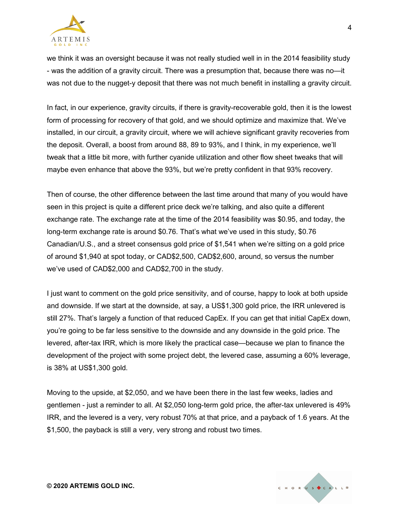

we think it was an oversight because it was not really studied well in in the 2014 feasibility study - was the addition of a gravity circuit. There was a presumption that, because there was no—it was not due to the nugget-y deposit that there was not much benefit in installing a gravity circuit.

In fact, in our experience, gravity circuits, if there is gravity-recoverable gold, then it is the lowest form of processing for recovery of that gold, and we should optimize and maximize that. We've installed, in our circuit, a gravity circuit, where we will achieve significant gravity recoveries from the deposit. Overall, a boost from around 88, 89 to 93%, and I think, in my experience, we'll tweak that a little bit more, with further cyanide utilization and other flow sheet tweaks that will maybe even enhance that above the 93%, but we're pretty confident in that 93% recovery.

Then of course, the other difference between the last time around that many of you would have seen in this project is quite a different price deck we're talking, and also quite a different exchange rate. The exchange rate at the time of the 2014 feasibility was \$0.95, and today, the long-term exchange rate is around \$0.76. That's what we've used in this study, \$0.76 Canadian/U.S., and a street consensus gold price of \$1,541 when we're sitting on a gold price of around \$1,940 at spot today, or CAD\$2,500, CAD\$2,600, around, so versus the number we've used of CAD\$2,000 and CAD\$2,700 in the study.

I just want to comment on the gold price sensitivity, and of course, happy to look at both upside and downside. If we start at the downside, at say, a US\$1,300 gold price, the IRR unlevered is still 27%. That's largely a function of that reduced CapEx. If you can get that initial CapEx down, you're going to be far less sensitive to the downside and any downside in the gold price. The levered, after-tax IRR, which is more likely the practical case—because we plan to finance the development of the project with some project debt, the levered case, assuming a 60% leverage, is 38% at US\$1,300 gold.

Moving to the upside, at \$2,050, and we have been there in the last few weeks, ladies and gentlemen - just a reminder to all. At \$2,050 long-term gold price, the after-tax unlevered is 49% IRR, and the levered is a very, very robust 70% at that price, and a payback of 1.6 years. At the \$1,500, the payback is still a very, very strong and robust two times.

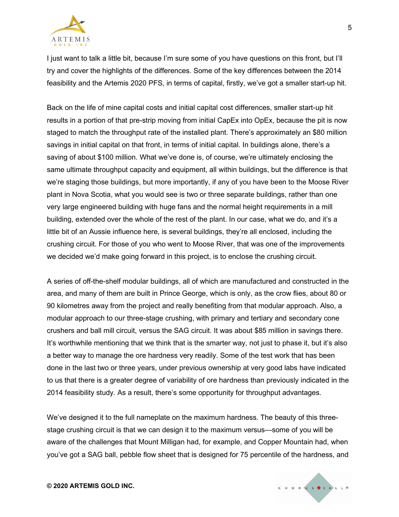

I just want to talk a little bit, because I'm sure some of you have questions on this front, but I'll try and cover the highlights of the differences. Some of the key differences between the 2014 feasibility and the Artemis 2020 PFS, in terms of capital, firstly, we've got a smaller start-up hit.

Back on the life of mine capital costs and initial capital cost differences, smaller start-up hit results in a portion of that pre-strip moving from initial CapEx into OpEx, because the pit is now staged to match the throughput rate of the installed plant. There's approximately an \$80 million savings in initial capital on that front, in terms of initial capital. In buildings alone, there's a saving of about \$100 million. What we've done is, of course, we're ultimately enclosing the same ultimate throughput capacity and equipment, all within buildings, but the difference is that we're staging those buildings, but more importantly, if any of you have been to the Moose River plant in Nova Scotia, what you would see is two or three separate buildings, rather than one very large engineered building with huge fans and the normal height requirements in a mill building, extended over the whole of the rest of the plant. In our case, what we do, and it's a little bit of an Aussie influence here, is several buildings, they're all enclosed, including the crushing circuit. For those of you who went to Moose River, that was one of the improvements we decided we'd make going forward in this project, is to enclose the crushing circuit.

A series of off-the-shelf modular buildings, all of which are manufactured and constructed in the area, and many of them are built in Prince George, which is only, as the crow flies, about 80 or 90 kilometres away from the project and really benefiting from that modular approach. Also, a modular approach to our three-stage crushing, with primary and tertiary and secondary cone crushers and ball mill circuit, versus the SAG circuit. It was about \$85 million in savings there. It's worthwhile mentioning that we think that is the smarter way, not just to phase it, but it's also a better way to manage the ore hardness very readily. Some of the test work that has been done in the last two or three years, under previous ownership at very good labs have indicated to us that there is a greater degree of variability of ore hardness than previously indicated in the 2014 feasibility study. As a result, there's some opportunity for throughput advantages.

We've designed it to the full nameplate on the maximum hardness. The beauty of this threestage crushing circuit is that we can design it to the maximum versus—some of you will be aware of the challenges that Mount Milligan had, for example, and Copper Mountain had, when you've got a SAG ball, pebble flow sheet that is designed for 75 percentile of the hardness, and

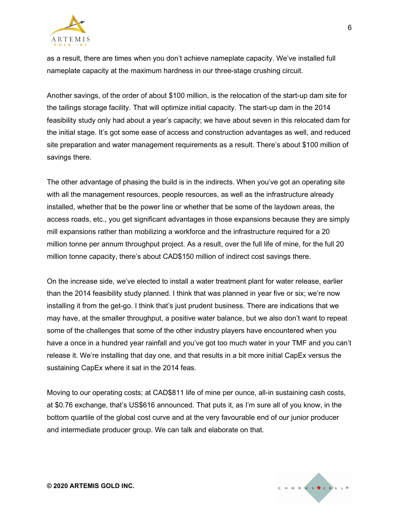

as a result, there are times when you don't achieve nameplate capacity. We've installed full nameplate capacity at the maximum hardness in our three-stage crushing circuit.

Another savings, of the order of about \$100 million, is the relocation of the start-up dam site for the tailings storage facility. That will optimize initial capacity. The start-up dam in the 2014 feasibility study only had about a year's capacity; we have about seven in this relocated dam for the initial stage. It's got some ease of access and construction advantages as well, and reduced site preparation and water management requirements as a result. There's about \$100 million of savings there.

The other advantage of phasing the build is in the indirects. When you've got an operating site with all the management resources, people resources, as well as the infrastructure already installed, whether that be the power line or whether that be some of the laydown areas, the access roads, etc., you get significant advantages in those expansions because they are simply mill expansions rather than mobilizing a workforce and the infrastructure required for a 20 million tonne per annum throughput project. As a result, over the full life of mine, for the full 20 million tonne capacity, there's about CAD\$150 million of indirect cost savings there.

On the increase side, we've elected to install a water treatment plant for water release, earlier than the 2014 feasibility study planned. I think that was planned in year five or six; we're now installing it from the get-go. I think that's just prudent business. There are indications that we may have, at the smaller throughput, a positive water balance, but we also don't want to repeat some of the challenges that some of the other industry players have encountered when you have a once in a hundred year rainfall and you've got too much water in your TMF and you can't release it. We're installing that day one, and that results in a bit more initial CapEx versus the sustaining CapEx where it sat in the 2014 feas.

Moving to our operating costs; at CAD\$811 life of mine per ounce, all-in sustaining cash costs, at \$0.76 exchange, that's US\$616 announced. That puts it, as I'm sure all of you know, in the bottom quartile of the global cost curve and at the very favourable end of our junior producer and intermediate producer group. We can talk and elaborate on that.

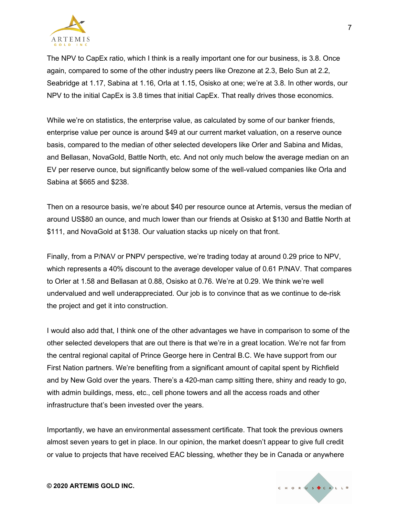

The NPV to CapEx ratio, which I think is a really important one for our business, is 3.8. Once again, compared to some of the other industry peers like Orezone at 2.3, Belo Sun at 2.2, Seabridge at 1.17, Sabina at 1.16, Orla at 1.15, Osisko at one; we're at 3.8. In other words, our NPV to the initial CapEx is 3.8 times that initial CapEx. That really drives those economics.

While we're on statistics, the enterprise value, as calculated by some of our banker friends, enterprise value per ounce is around \$49 at our current market valuation, on a reserve ounce basis, compared to the median of other selected developers like Orler and Sabina and Midas, and Bellasan, NovaGold, Battle North, etc. And not only much below the average median on an EV per reserve ounce, but significantly below some of the well-valued companies like Orla and Sabina at \$665 and \$238.

Then on a resource basis, we're about \$40 per resource ounce at Artemis, versus the median of around US\$80 an ounce, and much lower than our friends at Osisko at \$130 and Battle North at \$111, and NovaGold at \$138. Our valuation stacks up nicely on that front.

Finally, from a P/NAV or PNPV perspective, we're trading today at around 0.29 price to NPV, which represents a 40% discount to the average developer value of 0.61 P/NAV. That compares to Orler at 1.58 and Bellasan at 0.88, Osisko at 0.76. We're at 0.29. We think we're well undervalued and well underappreciated. Our job is to convince that as we continue to de-risk the project and get it into construction.

I would also add that, I think one of the other advantages we have in comparison to some of the other selected developers that are out there is that we're in a great location. We're not far from the central regional capital of Prince George here in Central B.C. We have support from our First Nation partners. We're benefiting from a significant amount of capital spent by Richfield and by New Gold over the years. There's a 420-man camp sitting there, shiny and ready to go, with admin buildings, mess, etc., cell phone towers and all the access roads and other infrastructure that's been invested over the years.

Importantly, we have an environmental assessment certificate. That took the previous owners almost seven years to get in place. In our opinion, the market doesn't appear to give full credit or value to projects that have received EAC blessing, whether they be in Canada or anywhere

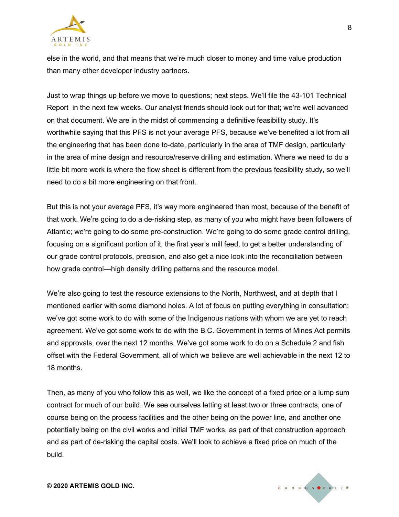

else in the world, and that means that we're much closer to money and time value production than many other developer industry partners.

Just to wrap things up before we move to questions; next steps. We'll file the 43-101 Technical Report in the next few weeks. Our analyst friends should look out for that; we're well advanced on that document. We are in the midst of commencing a definitive feasibility study. It's worthwhile saying that this PFS is not your average PFS, because we've benefited a lot from all the engineering that has been done to-date, particularly in the area of TMF design, particularly in the area of mine design and resource/reserve drilling and estimation. Where we need to do a little bit more work is where the flow sheet is different from the previous feasibility study, so we'll need to do a bit more engineering on that front.

But this is not your average PFS, it's way more engineered than most, because of the benefit of that work. We're going to do a de-risking step, as many of you who might have been followers of Atlantic; we're going to do some pre-construction. We're going to do some grade control drilling, focusing on a significant portion of it, the first year's mill feed, to get a better understanding of our grade control protocols, precision, and also get a nice look into the reconciliation between how grade control—high density drilling patterns and the resource model.

We're also going to test the resource extensions to the North, Northwest, and at depth that I mentioned earlier with some diamond holes. A lot of focus on putting everything in consultation; we've got some work to do with some of the Indigenous nations with whom we are yet to reach agreement. We've got some work to do with the B.C. Government in terms of Mines Act permits and approvals, over the next 12 months. We've got some work to do on a Schedule 2 and fish offset with the Federal Government, all of which we believe are well achievable in the next 12 to 18 months.

Then, as many of you who follow this as well, we like the concept of a fixed price or a lump sum contract for much of our build. We see ourselves letting at least two or three contracts, one of course being on the process facilities and the other being on the power line, and another one potentially being on the civil works and initial TMF works, as part of that construction approach and as part of de-risking the capital costs. We'll look to achieve a fixed price on much of the build.

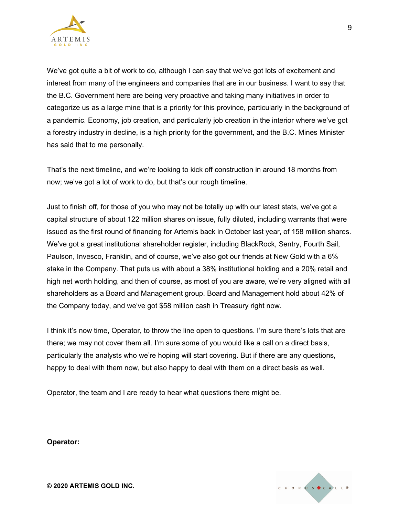

We've got quite a bit of work to do, although I can say that we've got lots of excitement and interest from many of the engineers and companies that are in our business. I want to say that the B.C. Government here are being very proactive and taking many initiatives in order to categorize us as a large mine that is a priority for this province, particularly in the background of a pandemic. Economy, job creation, and particularly job creation in the interior where we've got a forestry industry in decline, is a high priority for the government, and the B.C. Mines Minister has said that to me personally.

That's the next timeline, and we're looking to kick off construction in around 18 months from now; we've got a lot of work to do, but that's our rough timeline.

Just to finish off, for those of you who may not be totally up with our latest stats, we've got a capital structure of about 122 million shares on issue, fully diluted, including warrants that were issued as the first round of financing for Artemis back in October last year, of 158 million shares. We've got a great institutional shareholder register, including BlackRock, Sentry, Fourth Sail, Paulson, Invesco, Franklin, and of course, we've also got our friends at New Gold with a 6% stake in the Company. That puts us with about a 38% institutional holding and a 20% retail and high net worth holding, and then of course, as most of you are aware, we're very aligned with all shareholders as a Board and Management group. Board and Management hold about 42% of the Company today, and we've got \$58 million cash in Treasury right now.

I think it's now time, Operator, to throw the line open to questions. I'm sure there's lots that are there; we may not cover them all. I'm sure some of you would like a call on a direct basis, particularly the analysts who we're hoping will start covering. But if there are any questions, happy to deal with them now, but also happy to deal with them on a direct basis as well.

Operator, the team and I are ready to hear what questions there might be.

**Operator:**

CHORUS CALLE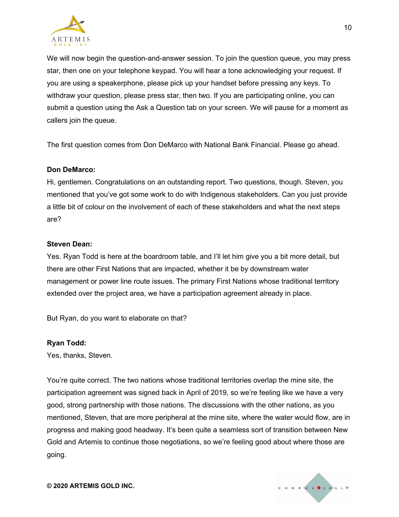

We will now begin the question-and-answer session. To join the question queue, you may press star, then one on your telephone keypad. You will hear a tone acknowledging your request. If you are using a speakerphone, please pick up your handset before pressing any keys. To withdraw your question, please press star, then two. If you are participating online, you can submit a question using the Ask a Question tab on your screen. We will pause for a moment as callers join the queue.

The first question comes from Don DeMarco with National Bank Financial. Please go ahead.

#### **Don DeMarco:**

Hi, gentlemen. Congratulations on an outstanding report. Two questions, though. Steven, you mentioned that you've got some work to do with Indigenous stakeholders. Can you just provide a little bit of colour on the involvement of each of these stakeholders and what the next steps are?

#### **Steven Dean:**

Yes. Ryan Todd is here at the boardroom table, and I'll let him give you a bit more detail, but there are other First Nations that are impacted, whether it be by downstream water management or power line route issues. The primary First Nations whose traditional territory extended over the project area, we have a participation agreement already in place.

But Ryan, do you want to elaborate on that?

#### **Ryan Todd:**

Yes, thanks, Steven.

You're quite correct. The two nations whose traditional territories overlap the mine site, the participation agreement was signed back in April of 2019, so we're feeling like we have a very good, strong partnership with those nations. The discussions with the other nations, as you mentioned, Steven, that are more peripheral at the mine site, where the water would flow, are in progress and making good headway. It's been quite a seamless sort of transition between New Gold and Artemis to continue those negotiations, so we're feeling good about where those are going.

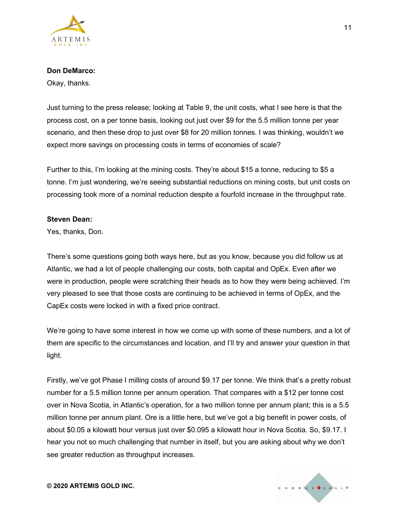

Okay, thanks.

Just turning to the press release; looking at Table 9, the unit costs, what I see here is that the process cost, on a per tonne basis, looking out just over \$9 for the 5.5 million tonne per year scenario, and then these drop to just over \$8 for 20 million tonnes. I was thinking, wouldn't we expect more savings on processing costs in terms of economies of scale?

Further to this, I'm looking at the mining costs. They're about \$15 a tonne, reducing to \$5 a tonne. I'm just wondering, we're seeing substantial reductions on mining costs, but unit costs on processing took more of a nominal reduction despite a fourfold increase in the throughput rate.

#### **Steven Dean:**

Yes, thanks, Don.

There's some questions going both ways here, but as you know, because you did follow us at Atlantic, we had a lot of people challenging our costs, both capital and OpEx. Even after we were in production, people were scratching their heads as to how they were being achieved. I'm very pleased to see that those costs are continuing to be achieved in terms of OpEx, and the CapEx costs were locked in with a fixed price contract.

We're going to have some interest in how we come up with some of these numbers, and a lot of them are specific to the circumstances and location, and I'll try and answer your question in that light.

Firstly, we've got Phase I milling costs of around \$9.17 per tonne. We think that's a pretty robust number for a 5.5 million tonne per annum operation. That compares with a \$12 per tonne cost over in Nova Scotia, in Atlantic's operation, for a two million tonne per annum plant; this is a 5.5 million tonne per annum plant. Ore is a little here, but we've got a big benefit in power costs, of about \$0.05 a kilowatt hour versus just over \$0.095 a kilowatt hour in Nova Scotia. So, \$9.17. I hear you not so much challenging that number in itself, but you are asking about why we don't see greater reduction as throughput increases.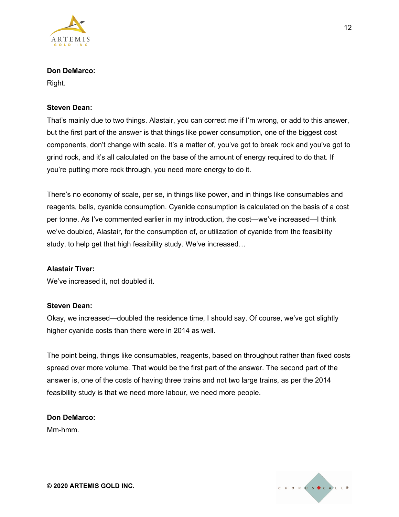

Right.

## **Steven Dean:**

That's mainly due to two things. Alastair, you can correct me if I'm wrong, or add to this answer, but the first part of the answer is that things like power consumption, one of the biggest cost components, don't change with scale. It's a matter of, you've got to break rock and you've got to grind rock, and it's all calculated on the base of the amount of energy required to do that. If you're putting more rock through, you need more energy to do it.

There's no economy of scale, per se, in things like power, and in things like consumables and reagents, balls, cyanide consumption. Cyanide consumption is calculated on the basis of a cost per tonne. As I've commented earlier in my introduction, the cost—we've increased—I think we've doubled, Alastair, for the consumption of, or utilization of cyanide from the feasibility study, to help get that high feasibility study. We've increased…

#### **Alastair Tiver:**

We've increased it, not doubled it.

#### **Steven Dean:**

Okay, we increased—doubled the residence time, I should say. Of course, we've got slightly higher cyanide costs than there were in 2014 as well.

The point being, things like consumables, reagents, based on throughput rather than fixed costs spread over more volume. That would be the first part of the answer. The second part of the answer is, one of the costs of having three trains and not two large trains, as per the 2014 feasibility study is that we need more labour, we need more people.

# **Don DeMarco:**

Mm-hmm.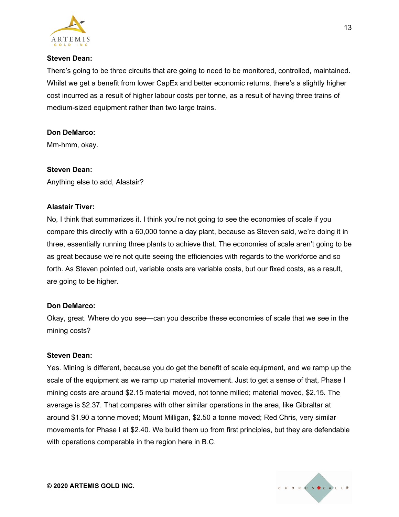

## **Steven Dean:**

There's going to be three circuits that are going to need to be monitored, controlled, maintained. Whilst we get a benefit from lower CapEx and better economic returns, there's a slightly higher cost incurred as a result of higher labour costs per tonne, as a result of having three trains of medium-sized equipment rather than two large trains.

## **Don DeMarco:**

Mm-hmm, okay.

## **Steven Dean:**

Anything else to add, Alastair?

## **Alastair Tiver:**

No, I think that summarizes it. I think you're not going to see the economies of scale if you compare this directly with a 60,000 tonne a day plant, because as Steven said, we're doing it in three, essentially running three plants to achieve that. The economies of scale aren't going to be as great because we're not quite seeing the efficiencies with regards to the workforce and so forth. As Steven pointed out, variable costs are variable costs, but our fixed costs, as a result, are going to be higher.

#### **Don DeMarco:**

Okay, great. Where do you see—can you describe these economies of scale that we see in the mining costs?

#### **Steven Dean:**

Yes. Mining is different, because you do get the benefit of scale equipment, and we ramp up the scale of the equipment as we ramp up material movement. Just to get a sense of that, Phase I mining costs are around \$2.15 material moved, not tonne milled; material moved, \$2.15. The average is \$2.37. That compares with other similar operations in the area, like Gibraltar at around \$1.90 a tonne moved; Mount Milligan, \$2.50 a tonne moved; Red Chris, very similar movements for Phase I at \$2.40. We build them up from first principles, but they are defendable with operations comparable in the region here in B.C.



13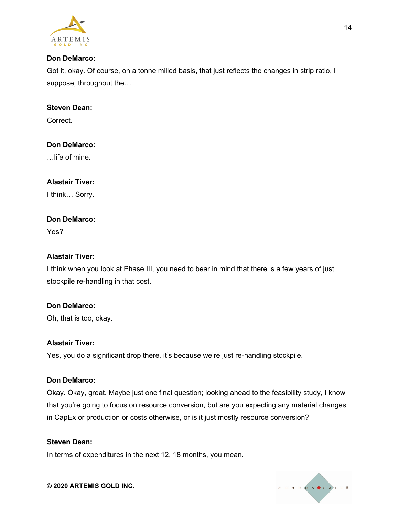

Got it, okay. Of course, on a tonne milled basis, that just reflects the changes in strip ratio, I suppose, throughout the…

# **Steven Dean:**

Correct.

## **Don DeMarco:**

…life of mine.

## **Alastair Tiver:**

I think… Sorry.

## **Don DeMarco:**

Yes?

## **Alastair Tiver:**

I think when you look at Phase III, you need to bear in mind that there is a few years of just stockpile re-handling in that cost.

#### **Don DeMarco:**

Oh, that is too, okay.

#### **Alastair Tiver:**

Yes, you do a significant drop there, it's because we're just re-handling stockpile.

#### **Don DeMarco:**

Okay. Okay, great. Maybe just one final question; looking ahead to the feasibility study, I know that you're going to focus on resource conversion, but are you expecting any material changes in CapEx or production or costs otherwise, or is it just mostly resource conversion?

## **Steven Dean:**

In terms of expenditures in the next 12, 18 months, you mean.



#### **© 2020 ARTEMIS GOLD INC.**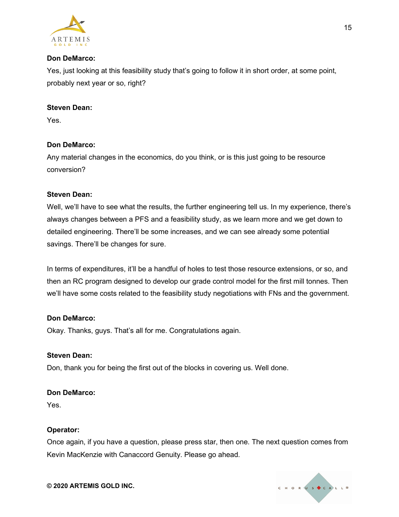

Yes, just looking at this feasibility study that's going to follow it in short order, at some point, probably next year or so, right?

# **Steven Dean:**

Yes.

## **Don DeMarco:**

Any material changes in the economics, do you think, or is this just going to be resource conversion?

## **Steven Dean:**

Well, we'll have to see what the results, the further engineering tell us. In my experience, there's always changes between a PFS and a feasibility study, as we learn more and we get down to detailed engineering. There'll be some increases, and we can see already some potential savings. There'll be changes for sure.

In terms of expenditures, it'll be a handful of holes to test those resource extensions, or so, and then an RC program designed to develop our grade control model for the first mill tonnes. Then we'll have some costs related to the feasibility study negotiations with FNs and the government.

#### **Don DeMarco:**

Okay. Thanks, guys. That's all for me. Congratulations again.

#### **Steven Dean:**

Don, thank you for being the first out of the blocks in covering us. Well done.

#### **Don DeMarco:**

Yes.

#### **Operator:**

Once again, if you have a question, please press star, then one. The next question comes from Kevin MacKenzie with Canaccord Genuity. Please go ahead.

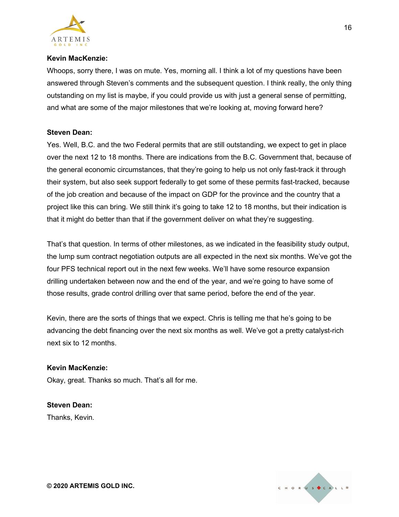

## **Kevin MacKenzie:**

Whoops, sorry there, I was on mute. Yes, morning all. I think a lot of my questions have been answered through Steven's comments and the subsequent question. I think really, the only thing outstanding on my list is maybe, if you could provide us with just a general sense of permitting, and what are some of the major milestones that we're looking at, moving forward here?

## **Steven Dean:**

Yes. Well, B.C. and the two Federal permits that are still outstanding, we expect to get in place over the next 12 to 18 months. There are indications from the B.C. Government that, because of the general economic circumstances, that they're going to help us not only fast-track it through their system, but also seek support federally to get some of these permits fast-tracked, because of the job creation and because of the impact on GDP for the province and the country that a project like this can bring. We still think it's going to take 12 to 18 months, but their indication is that it might do better than that if the government deliver on what they're suggesting.

That's that question. In terms of other milestones, as we indicated in the feasibility study output, the lump sum contract negotiation outputs are all expected in the next six months. We've got the four PFS technical report out in the next few weeks. We'll have some resource expansion drilling undertaken between now and the end of the year, and we're going to have some of those results, grade control drilling over that same period, before the end of the year.

Kevin, there are the sorts of things that we expect. Chris is telling me that he's going to be advancing the debt financing over the next six months as well. We've got a pretty catalyst-rich next six to 12 months.

#### **Kevin MacKenzie:**

Okay, great. Thanks so much. That's all for me.

#### **Steven Dean:**

Thanks, Kevin.



**© 2020 ARTEMIS GOLD INC.**